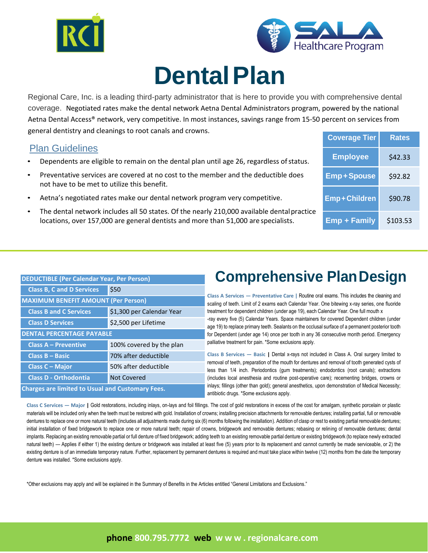



# **DentalPlan**

Regional Care, Inc. is a leading third-party administrator that is here to provide you with comprehensive dental coverage. Negotiated rates make the dental network Aetna Dental Administrators program, powered by the national Aetna Dental Access® network, very competitive. In most instances, savings range from 15-50 percent on services from general dentistry and cleanings to root canals and crowns.

### Plan Guidelines

- Dependents are eligible to remain on the dental plan until age 26, regardless of status.
- Preventative services are covered at no cost to the member and the deductible does not have to be met to utilize this benefit.
- Aetna's negotiated rates make our dental network program very competitive.
- The dental network includes all 50 states. Of the nearly 210,000 available dentalpractice locations, over 157,000 are general dentists and more than 51,000 are specialists.

| <b>Coverage Tier</b> | Rates    |
|----------------------|----------|
| <b>Employee</b>      | \$42.33  |
| <b>Emp+Spouse</b>    | \$92.82  |
| <b>Emp+Children</b>  | \$90.78  |
| <b>Emp + Family</b>  | \$103.53 |

| <b>DEDUCTIBLE (Per Calendar Year, Per Person)</b>       |                           |  |
|---------------------------------------------------------|---------------------------|--|
| <b>Class B, C and D Services</b>                        | \$50                      |  |
| <b>MAXIMUM BENEFIT AMOUNT (Per Person)</b>              |                           |  |
| <b>Class B and C Services</b>                           | \$1,300 per Calendar Year |  |
| <b>Class D Services</b>                                 | \$2,500 per Lifetime      |  |
| <b>DENTAL PERCENTAGE PAYABLE</b>                        |                           |  |
| <b>Class A - Preventive</b>                             | 100% covered by the plan  |  |
| Class B - Basic                                         | 70% after deductible      |  |
| Class C - Major                                         | 50% after deductible      |  |
| <b>Class D - Orthodontia</b>                            | <b>Not Covered</b>        |  |
| <b>Charges are limited to Usual and Customary Fees.</b> |                           |  |

### **Comprehensive PlanDesign**

**Class A Services — Preventative Care |** Routine oral exams. This includes the cleaning and scaling of teeth. Limit of 2 exams each Calendar Year. One bitewing x-ray series, one fluoride treatment for dependent children (under age 19), each Calendar Year. One full mouth x -ray every five (5) Calendar Years. Space maintainers for covered Dependent children (under age 19) to replace primary teeth. Sealants on the occlusal surface of a permanent posterior tooth for Dependent (under age 14) once per tooth in any 36 consecutive month period. Emergency palliative treatment for pain. \*Some exclusions apply.

**Class B Services — Basic |** Dental x-rays not included in Class A. Oral surgery limited to removal of teeth, preparation of the mouth for dentures and removal of tooth generated cysts of less than 1/4 inch. Periodontics (gum treatments); endodontics (root canals); extractions (includes local anesthesia and routine post-operative care); recementing bridges, crowns or inlays; fillings (other than gold); general anesthetics, upon demonstration of Medical Necessity; antibiotic drugs. \*Some exclusions apply.

Class C Services — Major | Gold restorations, including inlays, on-lays and foil fillings. The cost of gold restorations in excess of the cost for amalgam, synthetic porcelain or plastic materials will be included only when the teeth must be restored with gold. Installation of crowns; installing precision attachments for removable dentures; installing partial, full or removable dentures to replace one or more natural teeth (includes all adjustments made during six (6) months following the installation). Addition of clasp or rest to existing partial removable dentures; initial installation of fixed bridgework to replace one or more natural teeth; repair of crowns, bridgework and removable dentures; rebasing or relining of removable dentures; dental implants. Replacing an existing removable partial or full denture of fixed bridgework; adding teeth to an existing removable partial denture or existing bridgework (to replace newly extracted natural teeth) — Applies if either 1) the existing denture or bridgework was installed at least five (5) years prior to its replacement and cannot currently be made serviceable, or 2) the existing denture is of an immediate temporary nature. Further, replacement by permanent dentures is required and must take place within twelve (12) months from the date the temporary denture was installed. \*Some exclusions apply.

\*Other exclusions may apply and will be explained in the Summary of Benefits in the Articles entitled "General Limitations and Exclusions."